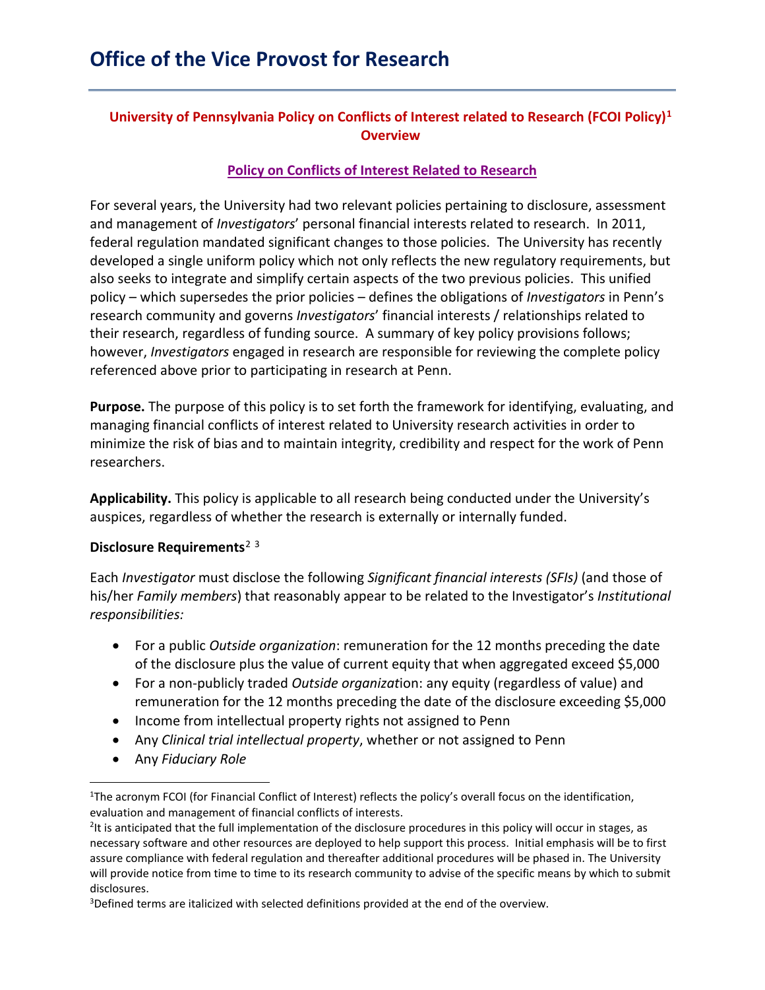# **University of Pennsylvania Policy on Conflicts of Interest related to Research (FCOI Policy)[1](#page-0-0) Overview**

## **[Policy on Conflicts of Interest Related to Research](https://research.upenn.edu/wp-content/uploads/FCOI_Policy_Almanac_Version.pdf)**

For several years, the University had two relevant policies pertaining to disclosure, assessment and management of *Investigators*' personal financial interests related to research. In 2011, federal regulation mandated significant changes to those policies. The University has recently developed a single uniform policy which not only reflects the new regulatory requirements, but also seeks to integrate and simplify certain aspects of the two previous policies. This unified policy – which supersedes the prior policies – defines the obligations of *Investigators* in Penn's research community and governs *Investigators*' financial interests / relationships related to their research, regardless of funding source. A summary of key policy provisions follows; however, *Investigators* engaged in research are responsible for reviewing the complete policy referenced above prior to participating in research at Penn.

**Purpose.** The purpose of this policy is to set forth the framework for identifying, evaluating, and managing financial conflicts of interest related to University research activities in order to minimize the risk of bias and to maintain integrity, credibility and respect for the work of Penn researchers.

**Applicability.** This policy is applicable to all research being conducted under the University's auspices, regardless of whether the research is externally or internally funded.

#### **Disclosure Requirements**[2](#page-0-1) [3](#page-0-2)

Each *Investigator* must disclose the following *Significant financial interests (SFIs)* (and those of his/her *Family members*) that reasonably appear to be related to the Investigator's *Institutional responsibilities:*

- For a public *Outside organization*: remuneration for the 12 months preceding the date of the disclosure plus the value of current equity that when aggregated exceed \$5,000
- For a non-publicly traded *Outside organizat*ion: any equity (regardless of value) and remuneration for the 12 months preceding the date of the disclosure exceeding \$5,000
- Income from intellectual property rights not assigned to Penn
- Any *Clinical trial intellectual property*, whether or not assigned to Penn
- Any *Fiduciary Role*

<span id="page-0-0"></span><sup>&</sup>lt;sup>1</sup>The acronym FCOI (for Financial Conflict of Interest) reflects the policy's overall focus on the identification, evaluation and management of financial conflicts of interests.

<span id="page-0-1"></span><sup>&</sup>lt;sup>2</sup>It is anticipated that the full implementation of the disclosure procedures in this policy will occur in stages, as necessary software and other resources are deployed to help support this process. Initial emphasis will be to first assure compliance with federal regulation and thereafter additional procedures will be phased in. The University will provide notice from time to time to its research community to advise of the specific means by which to submit disclosures.

<span id="page-0-2"></span><sup>3</sup> Defined terms are italicized with selected definitions provided at the end of the overview.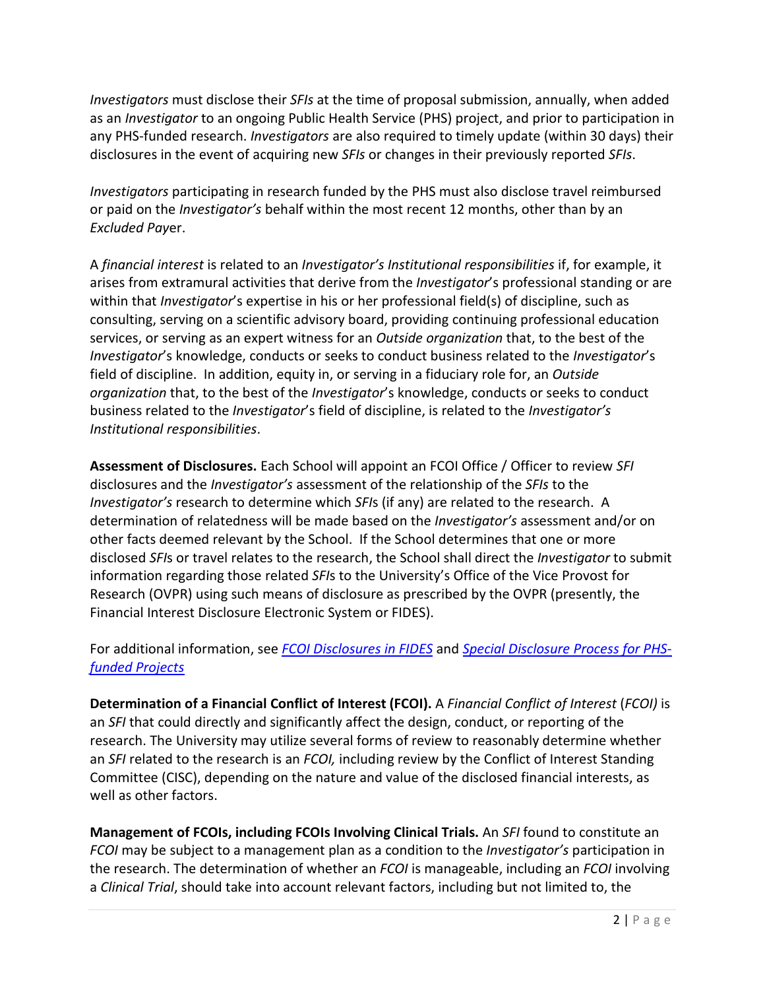*Investigators* must disclose their *SFIs* at the time of proposal submission, annually, when added as an *Investigator* to an ongoing Public Health Service (PHS) project, and prior to participation in any PHS-funded research. *Investigators* are also required to timely update (within 30 days) their disclosures in the event of acquiring new *SFIs* or changes in their previously reported *SFIs*.

*Investigators* participating in research funded by the PHS must also disclose travel reimbursed or paid on the *Investigator's* behalf within the most recent 12 months, other than by an *Excluded Pay*er.

A *financial interest* is related to an *Investigator's Institutional responsibilities* if, for example, it arises from extramural activities that derive from the *Investigator*'s professional standing or are within that *Investigator*'s expertise in his or her professional field(s) of discipline, such as consulting, serving on a scientific advisory board, providing continuing professional education services, or serving as an expert witness for an *Outside organization* that, to the best of the *Investigator*'s knowledge, conducts or seeks to conduct business related to the *Investigator*'s field of discipline. In addition, equity in, or serving in a fiduciary role for, an *Outside organization* that, to the best of the *Investigator*'s knowledge, conducts or seeks to conduct business related to the *Investigator*'s field of discipline, is related to the *Investigator's Institutional responsibilities*.

**Assessment of Disclosures.** Each School will appoint an FCOI Office / Officer to review *SFI*  disclosures and the *Investigator's* assessment of the relationship of the *SFIs* to the *Investigator's* research to determine which *SFI*s (if any) are related to the research. A determination of relatedness will be made based on the *Investigator's* assessment and/or on other facts deemed relevant by the School. If the School determines that one or more disclosed *SFI*s or travel relates to the research, the School shall direct the *Investigator* to submit information regarding those related *SFI*s to the University's Office of the Vice Provost for Research (OVPR) using such means of disclosure as prescribed by the OVPR (presently, the Financial Interest Disclosure Electronic System or FIDES).

For additional information, see *[FCOI Disclosures in FIDES](https://research.upenn.edu/wp-content/uploads/FCOI_Disclosure_In_FIDES-5-28-19.pdf)* and *[Special Disclosure Process for PHS](https://research.upenn.edu/wp-content/uploads/Disclosure_Guidance_for_PHS-FITS-5-28-19.pdf)[funded Projects](http://www.upenn.edu/research/pdf/phs_disclosure.pdf)*

**Determination of a Financial Conflict of Interest (FCOI).** A *Financial Conflict of Interest* (*FCOI)* is an *SFI* that could directly and significantly affect the design, conduct, or reporting of the research. The University may utilize several forms of review to reasonably determine whether an *SFI* related to the research is an *FCOI,* including review by the Conflict of Interest Standing Committee (CISC), depending on the nature and value of the disclosed financial interests, as well as other factors.

**Management of FCOIs, including FCOIs Involving Clinical Trials.** An *SFI* found to constitute an *FCOI* may be subject to a management plan as a condition to the *Investigator's* participation in the research. The determination of whether an *FCOI* is manageable, including an *FCOI* involving a *Clinical Trial*, should take into account relevant factors, including but not limited to, the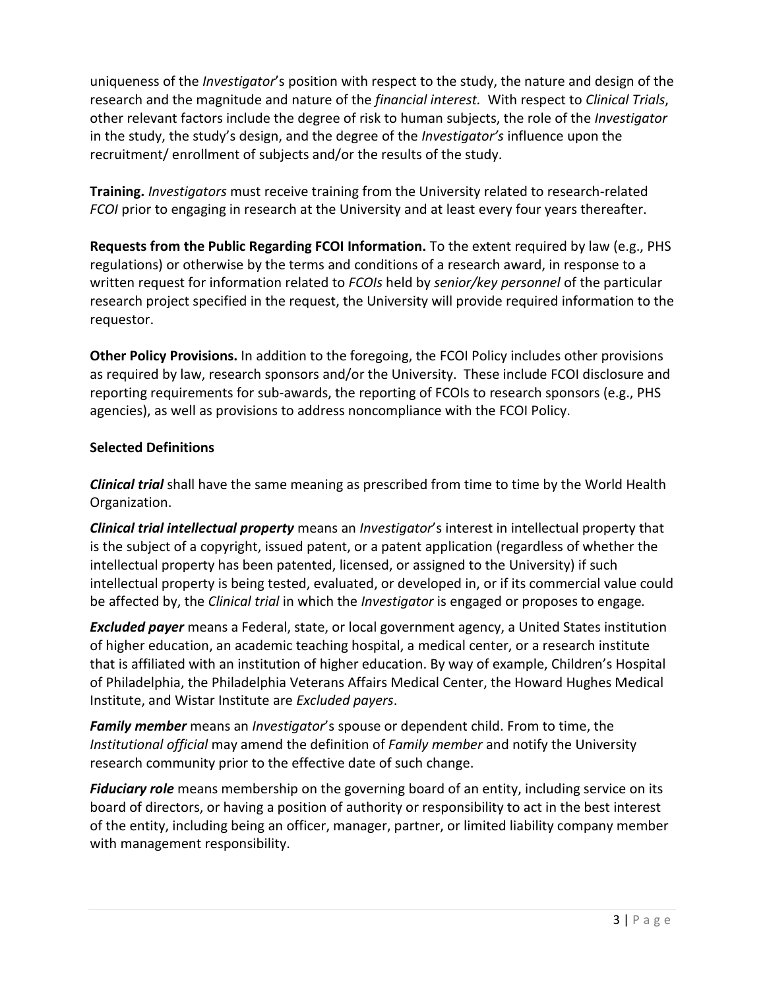uniqueness of the *Investigator*'s position with respect to the study, the nature and design of the research and the magnitude and nature of the *financial interest.* With respect to *Clinical Trials*, other relevant factors include the degree of risk to human subjects, the role of the *Investigator* in the study, the study's design, and the degree of the *Investigator's* influence upon the recruitment/ enrollment of subjects and/or the results of the study.

**Training.** *Investigators* must receive training from the University related to research-related *FCOI* prior to engaging in research at the University and at least every four years thereafter.

**Requests from the Public Regarding FCOI Information.** To the extent required by law (e.g., PHS regulations) or otherwise by the terms and conditions of a research award, in response to a written request for information related to *FCOIs* held by *senior/key personnel* of the particular research project specified in the request, the University will provide required information to the requestor.

**Other Policy Provisions.** In addition to the foregoing, the FCOI Policy includes other provisions as required by law, research sponsors and/or the University. These include FCOI disclosure and reporting requirements for sub-awards, the reporting of FCOIs to research sponsors (e.g., PHS agencies), as well as provisions to address noncompliance with the FCOI Policy.

## **Selected Definitions**

*Clinical trial* shall have the same meaning as prescribed from time to time by the World Health Organization.

*Clinical trial intellectual property* means an *Investigator*'s interest in intellectual property that is the subject of a copyright, issued patent, or a patent application (regardless of whether the intellectual property has been patented, licensed, or assigned to the University) if such intellectual property is being tested, evaluated, or developed in, or if its commercial value could be affected by, the *Clinical trial* in which the *Investigator* is engaged or proposes to engage*.* 

*Excluded payer* means a Federal, state, or local government agency, a United States institution of higher education, an academic teaching hospital, a medical center, or a research institute that is affiliated with an institution of higher education. By way of example, Children's Hospital of Philadelphia, the Philadelphia Veterans Affairs Medical Center, the Howard Hughes Medical Institute, and Wistar Institute are *Excluded payers*.

*Family member* means an *Investigator*'s spouse or dependent child. From to time, the *Institutional official* may amend the definition of *Family member* and notify the University research community prior to the effective date of such change.

*Fiduciary role* means membership on the governing board of an entity, including service on its board of directors, or having a position of authority or responsibility to act in the best interest of the entity, including being an officer, manager, partner, or limited liability company member with management responsibility.